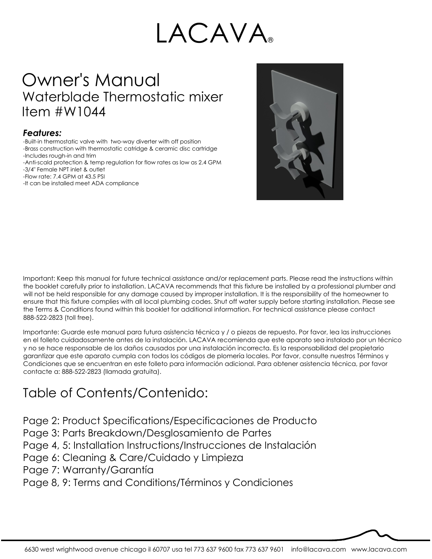# LACAVA

# Owner's Manual Waterblade Thermostatic mixer Item #W1044

#### *Features:*

-Built-in thermostatic valve with two-way diverter with off position -Brass construction with thermostatic catridge & ceramic disc cartridge -Includes rough-in and trim -Anti-scald protection & temp regulation for flow rates as low as 2.4 GPM -3/4" Female NPT inlet & outlet -Flow rate: 7.4 GPM at 43.5 PSI -It can be installed meet ADA compliance



Important: Keep this manual for future technical assistance and/or replacement parts. Please read the instructions within the booklet carefully prior to installation. LACAVA recommends that this fixture be installed by a professional plumber and will not be held responsible for any damage caused by improper installation. It is the responsibility of the homeowner to ensure that this fixture complies with all local plumbing codes. Shut off water supply before starting installation. Please see the Terms & Conditions found within this booklet for additional information. For technical assistance please contact 888-522-2823 (toll free).

Importante: Guarde este manual para futura asistencia técnica y / o piezas de repuesto. Por favor, lea las instrucciones en el folleto cuidadosamente antes de la instalación. LACAVA recomienda que este aparato sea instalado por un técnico y no se hace responsable de los daños causados por una instalación incorrecta. Es la responsabilidad del propietario garantizar que este aparato cumpla con todos los códigos de plomería locales. Por favor, consulte nuestros Términos y Condiciones que se encuentran en este folleto para información adicional. Para obtener asistencia técnica, por favor contacte a: 888-522-2823 (llamada gratuita).

### Table of Contents/Contenido:

Page 2: Product Specifications/Especificaciones de Producto

- Page 3: Parts Breakdown/Desglosamiento de Partes
- Page 4, 5: Installation Instructions/Instrucciones de Instalación
- Page 6: Cleaning & Care/Cuidado y Limpieza
- Page 7: Warranty/Garantía

Page 8, 9: Terms and Conditions/Términos y Condiciones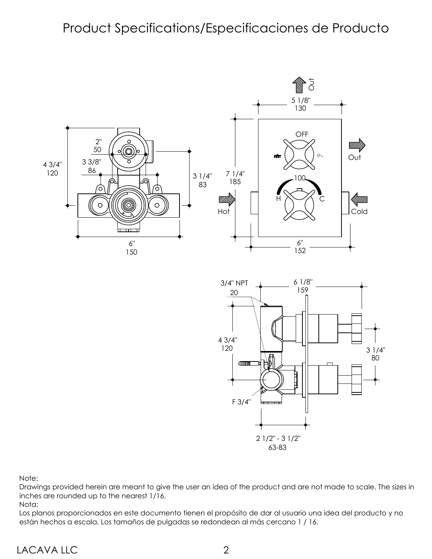### Product Specifications/Especificaciones de Producto



Note:

Drawings provided herein are meant to give the user an idea of the product and are not made to scale. The sizes in inches are rounded up to the nearest 1/16.

Nota:

Los planos proporcionados en este documento tienen el propósito de dar al usuario una idea del producto y no están hechos a escala. Los tamaños de pulgadas se redondean al más cercano 1 / 16.

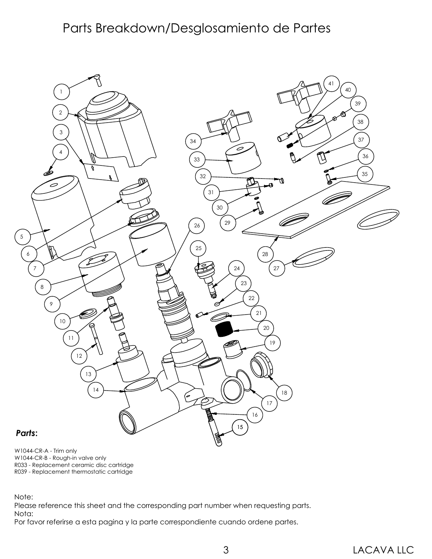### Parts Breakdown/Desglosamiento de Partes



W1044-CR-A - Trim only W1044-CR-B - Rough-in valve only R033 - Replacement ceramic disc cartridge R039 - Replacement thermostatic cartridge

Note:

Please reference this sheet and the corresponding part number when requesting parts. Nota:

Por favor referirse a esta pagina y la parte correspondiente cuando ordene partes.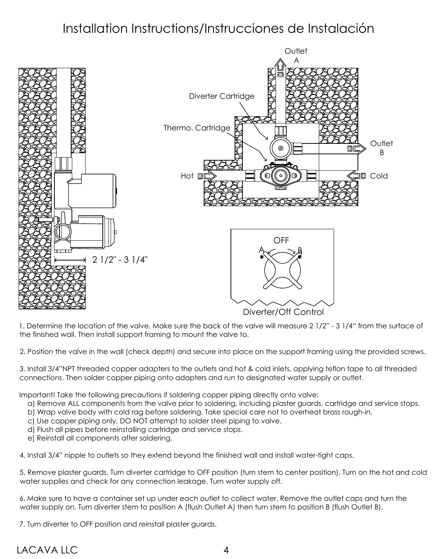### Installation Instructions/Instrucciones de Instalación



1. Determine the location of the valve. Make sure the back of the valve will measure 2 1/2" - 3 1/4" from the surface of the finished wall. Then install support framing to mount the valve to.

2. Position the valve in the wall (check depth) and secure into place on the support framing using the provided screws.

3. Install 3/4"NPT threaded copper adapters to the outlets and hot & cold inlets, applying teflon tape to all threaded connections. Then solder copper piping onto adapters and run to designated water supply or outlet.

Important! Take the following precautions if soldering copper piping directly onto valve:

- a) Remove ALL components from the valve prior to soldering, including plaster guards, cartridge and service stops.
- b) Wrap valve body with cold rag before soldering. Take special care not to overheat brass rough-in.
- c) Use copper piping only, DO NOT attempt to solder steel piping to valve.
- d) Flush all pipes before reinstalling cartridge and service stops.
- e) Reinstall all components after soldering.

4. Install 3/4" nipple to outlets so they extend beyond the finished wall and install water-tight caps.

5. Remove plaster guards. Turn diverter cartridge to OFF position (turn stem to center position). Turn on the hot and cold water supplies and check for any connection leakage. Turn water supply off.

6. Make sure to have a container set up under each outlet to collect water. Remove the outlet caps and turn the water supply on. Turn diverter stem to position A (flush Outlet A) then turn stem to position B (flush Outlet B).

7. Turn diverter to OFF position and reinstall plaster guards.

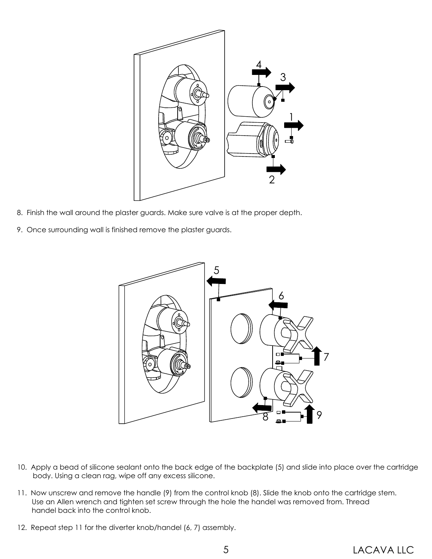

- 8. Finish the wall around the plaster guards. Make sure valve is at the proper depth.
- 9. Once surrounding wall is finished remove the plaster guards.



- 10. Apply a bead of silicone sealant onto the back edge of the backplate (5) and slide into place over the cartridge body. Using a clean rag, wipe off any excess silicone.
- 11. Now unscrew and remove the handle (9) from the control knob (8). Slide the knob onto the cartridge stem. Use an Allen wrench and tighten set screw through the hole the handel was removed from. Thread handel back into the control knob.
- 12. Repeat step 11 for the diverter knob/handel (6, 7) assembly.

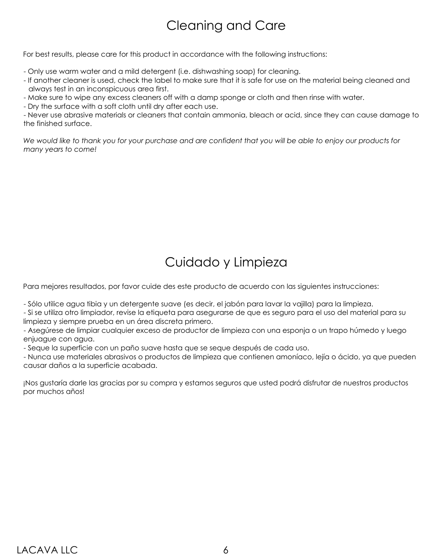# Cleaning and Care

For best results, please care for this product in accordance with the following instructions:

- Only use warm water and a mild detergent (i.e. dishwashing soap) for cleaning.
- If another cleaner is used, check the label to make sure that it is safe for use on the material being cleaned and always test in an inconspicuous area first.
- Make sure to wipe any excess cleaners off with a damp sponge or cloth and then rinse with water.
- Dry the surface with a soft cloth until dry after each use.

- Never use abrasive materials or cleaners that contain ammonia, bleach or acid, since they can cause damage to the finished surface.

*We would like to thank you for your purchase and are confident that you will be able to enjoy our products for many years to come!*

# Cuidado y Limpieza

Para mejores resultados, por favor cuide des este producto de acuerdo con las siguientes instrucciones:

- Sólo utilice agua tibia y un detergente suave (es decir, el jabón para lavar la vajilla) para la limpieza.

- Si se utiliza otro limpiador, revise la etiqueta para asegurarse de que es seguro para el uso del material para su limpieza y siempre prueba en un área discreta primero.

- Asegúrese de limpiar cualquier exceso de productor de limpieza con una esponja o un trapo húmedo y luego enjuague con agua.

- Seque la superficie con un paño suave hasta que se seque después de cada uso.

- Nunca use materiales abrasivos o productos de limpieza que contienen amoníaco, lejía o ácido, ya que pueden causar daños a la superficie acabada.

¡Nos gustaría darle las gracias por su compra y estamos seguros que usted podrá disfrutar de nuestros productos por muchos años!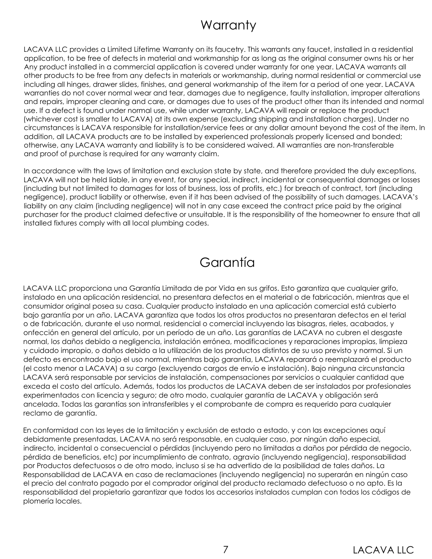### **Warranty**

LACAVA LLC provides a Limited Lifetime Warranty on its faucetry. This warrants any faucet, installed in a residential application, to be free of defects in material and workmanship for as long as the original consumer owns his or her Any product installed in a commercial application is covered under warranty for one year. LACAVA warrants all other products to be free from any defects in materials or workmanship, during normal residential or commercial use including all hinges, drawer slides, finishes, and general workmanship of the item for a period of one year. LACAVA warranties do not cover normal wear and tear, damages due to negligence, faulty installation, improper alterations and repairs, improper cleaning and care, or damages due to uses of the product other than its intended and normal use. If a defect is found under normal use, while under warranty, LACAVA will repair or replace the product (whichever cost is smaller to LACAVA) at its own expense (excluding shipping and installation charges). Under no circumstances is LACAVA responsible for installation/service fees or any dollar amount beyond the cost of the item. In addition, all LACAVA products are to be installed by experienced professionals properly licensed and bonded; otherwise, any LACAVA warranty and liability is to be considered waived. All warranties are non-transferable and proof of purchase is required for any warranty claim.

In accordance with the laws of limitation and exclusion state by state, and therefore provided the duly exceptions, LACAVA will not be held liable, in any event, for any special, indirect, incidental or consequential damages or losses (including but not limited to damages for loss of business, loss of profits, etc.) for breach of contract, tort (including negligence), product liability or otherwise, even if it has been advised of the possibility of such damages. LACAVA's liability on any claim (including negligence) will not in any case exceed the contract price paid by the original purchaser for the product claimed defective or unsuitable. It is the responsibility of the homeowner to ensure that all installed fixtures comply with all local plumbing codes.

### Garantía

LACAVA LLC proporciona una Garantía Limitada de por Vida en sus grifos. Esto garantiza que cualquier grifo, instalado en una aplicación residencial, no presentara defectos en el material o de fabricación, mientras que el consumidor original posea su casa. Cualquier producto instalado en una aplicación comercial está cubierto bajo garantía por un año. LACAVA garantiza que todos los otros productos no presentaran defectos en el terial o de fabricación, durante el uso normal, residencial o comercial incluyendo las bisagras, rieles, acabados, y onfección en general del artículo, por un período de un año. Las garantías de LACAVA no cubren el desgaste normal, los daños debido a negligencia, instalación errónea, modificaciones y reparaciones impropias, limpieza y cuidado impropio, o daños debido a la utilización de los productos distintos de su uso previsto y normal. Si un defecto es encontrado bajo el uso normal, mientras bajo garantía, LACAVA reparará o reemplazará el producto (el costo menor a LACAVA) a su cargo (excluyendo cargos de envío e instalación). Bajo ninguna circunstancia LACAVA será responsable por servicios de instalación, compensaciones por servicios o cualquier cantidad que exceda el costo del artículo. Además, todos los productos de LACAVA deben de ser instalados por profesionales experimentados con licencia y seguro; de otro modo, cualquier garantía de LACAVA y obligación será ancelada. Todas las garantías son intransferibles y el comprobante de compra es requerido para cualquier reclamo de garantía.

En conformidad con las leyes de la limitación y exclusión de estado a estado, y con las excepciones aquí debidamente presentadas, LACAVA no será responsable, en cualquier caso, por ningún daño especial, indirecto, incidental o consecuencial o pérdidas (incluyendo pero no limitadas a daños por pérdida de negocio, pérdida de beneficios, etc) por incumplimiento de contrato, agravio (incluyendo negligencia), responsabilidad por Productos defectuosos o de otro modo, incluso si se ha advertido de la posibilidad de tales daños. La Responsabilidad de LACAVA en caso de reclamaciones (incluyendo negligencia) no superarán en ningún caso el precio del contrato pagado por el comprador original del producto reclamado defectuoso o no apto. Es la responsabilidad del propietario garantizar que todos los accesorios instalados cumplan con todos los códigos de plomería locales.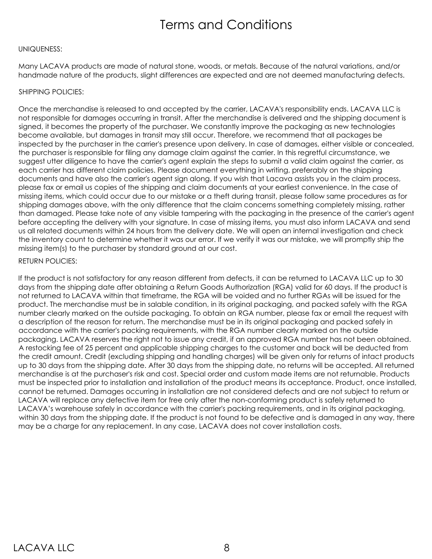### Terms and Conditions

#### UNIQUENESS:

Many LACAVA products are made of natural stone, woods, or metals. Because of the natural variations, and/or handmade nature of the products, slight differences are expected and are not deemed manufacturing defects.

#### SHIPPING POLICIES:

Once the merchandise is released to and accepted by the carrier, LACAVA's responsibility ends. LACAVA LLC is not responsible for damages occurring in transit. After the merchandise is delivered and the shipping document is signed, it becomes the property of the purchaser. We constantly improve the packaging as new technologies become available, but damages in transit may still occur. Therefore, we recommend that all packages be inspected by the purchaser in the carrier's presence upon delivery. In case of damages, either visible or concealed, the purchaser is responsible for filing any damage claim against the carrier. In this regretful circumstance, we suggest utter diligence to have the carrier's agent explain the steps to submit a valid claim against the carrier, as each carrier has different claim policies. Please document everything in writing, preferably on the shipping documents and have also the carrier's agent sign along. If you wish that Lacava assists you in the claim process, please fax or email us copies of the shipping and claim documents at your earliest convenience. In the case of missing items, which could occur due to our mistake or a theft during transit, please follow same procedures as for shipping damages above, with the only difference that the claim concerns something completely missing, rather than damaged. Please take note of any visible tampering with the packaging in the presence of the carrier's agent before accepting the delivery with your signature. In case of missing items, you must also inform LACAVA and send us all related documents within 24 hours from the delivery date. We will open an internal investigation and check the inventory count to determine whether it was our error. If we verify it was our mistake, we will promptly ship the missing item(s) to the purchaser by standard ground at our cost.

#### RETURN POLICIES:

If the product is not satisfactory for any reason different from defects, it can be returned to LACAVA LLC up to 30 days from the shipping date after obtaining a Return Goods Authorization (RGA) valid for 60 days. If the product is not returned to LACAVA within that timeframe, the RGA will be voided and no further RGAs will be issued for the product. The merchandise must be in salable condition, in its original packaging, and packed safely with the RGA number clearly marked on the outside packaging. To obtain an RGA number, please fax or email the request with a description of the reason for return. The merchandise must be in its original packaging and packed safely in accordance with the carrier's packing requirements, with the RGA number clearly marked on the outside packaging. LACAVA reserves the right not to issue any credit, if an approved RGA number has not been obtained. A restocking fee of 25 percent and applicable shipping charges to the customer and back will be deducted from the credit amount. Credit (excluding shipping and handling charges) will be given only for returns of intact products up to 30 days from the shipping date. After 30 days from the shipping date, no returns will be accepted. All returned merchandise is at the purchaser's risk and cost. Special order and custom made items are not returnable. Products must be inspected prior to installation and installation of the product means its acceptance. Product, once installed, cannot be returned. Damages occurring in installation are not considered defects and are not subject to return or LACAVA will replace any defective item for free only after the non-conforming product is safely returned to LACAVA's warehouse safely in accordance with the carrier's packing requirements, and in its original packaging, within 30 days from the shipping date. If the product is not found to be defective and is damaged in any way, there may be a charge for any replacement. In any case, LACAVA does not cover installation costs.